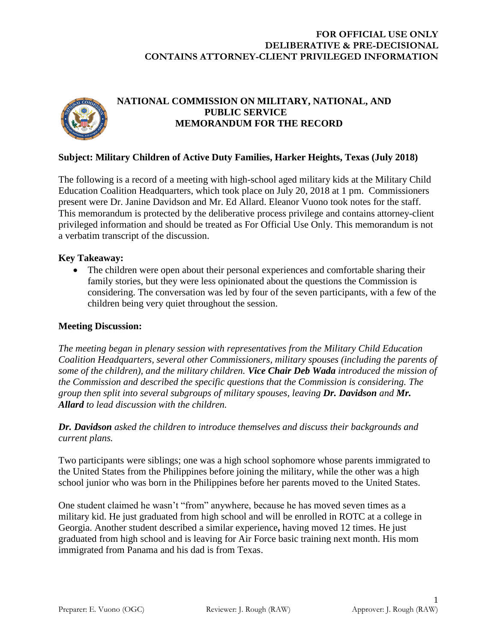### **FOR OFFICIAL USE ONLY DELIBERATIVE & PRE-DECISIONAL CONTAINS ATTORNEY-CLIENT PRIVILEGED INFORMATION**



# **NATIONAL COMMISSION ON MILITARY, NATIONAL, AND PUBLIC SERVICE MEMORANDUM FOR THE RECORD**

### **Subject: Military Children of Active Duty Families, Harker Heights, Texas (July 2018)**

The following is a record of a meeting with high-school aged military kids at the Military Child Education Coalition Headquarters, which took place on July 20, 2018 at 1 pm. Commissioners present were Dr. Janine Davidson and Mr. Ed Allard. Eleanor Vuono took notes for the staff. This memorandum is protected by the deliberative process privilege and contains attorney-client privileged information and should be treated as For Official Use Only. This memorandum is not a verbatim transcript of the discussion.

### **Key Takeaway:**

• The children were open about their personal experiences and comfortable sharing their family stories, but they were less opinionated about the questions the Commission is considering. The conversation was led by four of the seven participants, with a few of the children being very quiet throughout the session.

#### **Meeting Discussion:**

*The meeting began in plenary session with representatives from the Military Child Education Coalition Headquarters, several other Commissioners, military spouses (including the parents of some of the children), and the military children. Vice Chair Deb Wada introduced the mission of the Commission and described the specific questions that the Commission is considering. The group then split into several subgroups of military spouses, leaving Dr. Davidson and Mr. Allard to lead discussion with the children.*

*Dr. Davidson asked the children to introduce themselves and discuss their backgrounds and current plans.*

Two participants were siblings; one was a high school sophomore whose parents immigrated to the United States from the Philippines before joining the military, while the other was a high school junior who was born in the Philippines before her parents moved to the United States.

One student claimed he wasn't "from" anywhere, because he has moved seven times as a military kid. He just graduated from high school and will be enrolled in ROTC at a college in Georgia. Another student described a similar experience**,** having moved 12 times. He just graduated from high school and is leaving for Air Force basic training next month. His mom immigrated from Panama and his dad is from Texas.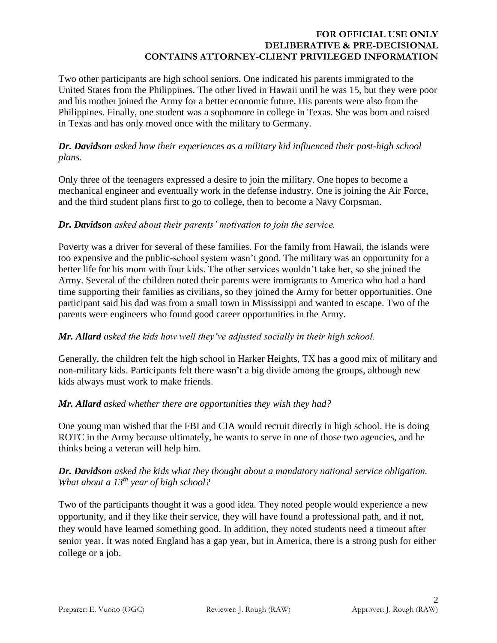### **FOR OFFICIAL USE ONLY DELIBERATIVE & PRE-DECISIONAL CONTAINS ATTORNEY-CLIENT PRIVILEGED INFORMATION**

Two other participants are high school seniors. One indicated his parents immigrated to the United States from the Philippines. The other lived in Hawaii until he was 15, but they were poor and his mother joined the Army for a better economic future. His parents were also from the Philippines. Finally, one student was a sophomore in college in Texas. She was born and raised in Texas and has only moved once with the military to Germany.

### *Dr. Davidson asked how their experiences as a military kid influenced their post-high school plans.*

Only three of the teenagers expressed a desire to join the military. One hopes to become a mechanical engineer and eventually work in the defense industry. One is joining the Air Force, and the third student plans first to go to college, then to become a Navy Corpsman.

# *Dr. Davidson asked about their parents' motivation to join the service.*

Poverty was a driver for several of these families. For the family from Hawaii, the islands were too expensive and the public-school system wasn't good. The military was an opportunity for a better life for his mom with four kids. The other services wouldn't take her, so she joined the Army. Several of the children noted their parents were immigrants to America who had a hard time supporting their families as civilians, so they joined the Army for better opportunities. One participant said his dad was from a small town in Mississippi and wanted to escape. Two of the parents were engineers who found good career opportunities in the Army.

# *Mr. Allard asked the kids how well they've adjusted socially in their high school.*

Generally, the children felt the high school in Harker Heights, TX has a good mix of military and non-military kids. Participants felt there wasn't a big divide among the groups, although new kids always must work to make friends.

# *Mr. Allard asked whether there are opportunities they wish they had?*

One young man wished that the FBI and CIA would recruit directly in high school. He is doing ROTC in the Army because ultimately, he wants to serve in one of those two agencies, and he thinks being a veteran will help him.

### *Dr. Davidson asked the kids what they thought about a mandatory national service obligation. What about a 13th year of high school?*

Two of the participants thought it was a good idea. They noted people would experience a new opportunity, and if they like their service, they will have found a professional path, and if not, they would have learned something good. In addition, they noted students need a timeout after senior year. It was noted England has a gap year, but in America, there is a strong push for either college or a job.